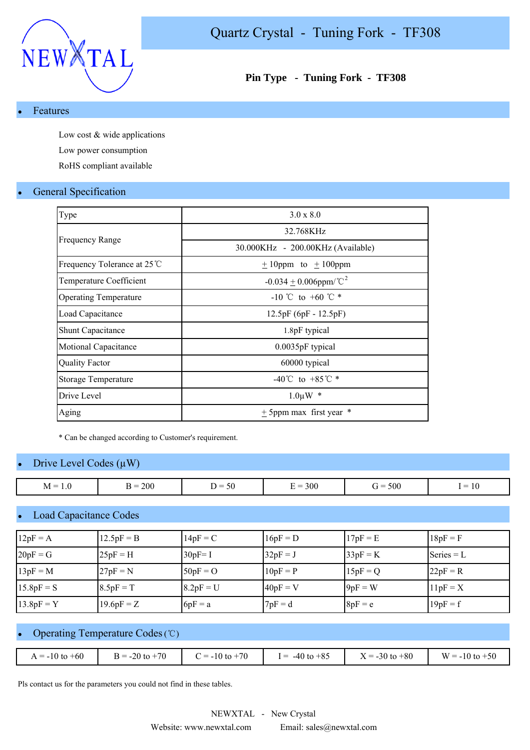

### **Pin Type - Tuning Fork - TF308**

#### **Features**

Low cost & wide applications Low power consumption

RoHS compliant available

#### **General Specification**

| Type                         | $3.0 \times 8.0$                              |
|------------------------------|-----------------------------------------------|
|                              | 32.768KHz                                     |
| <b>Frequency Range</b>       | 30.000KHz - 200.00KHz (Available)             |
| Frequency Tolerance at 25 ℃  | $\pm$ 10ppm to $\pm$ 100ppm                   |
| Temperature Coefficient      | $-0.034 + 0.006$ ppm/°C <sup>2</sup>          |
| <b>Operating Temperature</b> | $-10^{\circ}$ to $+60^{\circ}$ $\mathbb{C}$ * |
| Load Capacitance             | $12.5pF(6pF - 12.5pF)$                        |
| <b>Shunt Capacitance</b>     | 1.8pF typical                                 |
| Motional Capacitance         | 0.0035pF typical                              |
| <b>Quality Factor</b>        | 60000 typical                                 |
| <b>Storage Temperature</b>   | $-40^{\circ}$ C to $+85^{\circ}$ C *          |
| Drive Level                  | $1.0 \mu W$ *                                 |
| Aging                        | $\pm$ 5ppm max first year $*$                 |
|                              |                                               |

\* Can be changed according to Customer's requirement.

#### Drive Level Codes  $(\mu W)$

| $\overline{\phantom{0}}$<br>M<br>$\cdot$ | 200<br>. –<br>∼ —<br>$\sim$ $\sim$ | ``<br>$ -$ | 300<br>-<br>. | 500<br>$\overline{\phantom{0}}$<br>$\mathbf{r} =$ | _<br>1 V<br>__ |
|------------------------------------------|------------------------------------|------------|---------------|---------------------------------------------------|----------------|

#### **Load Capacitance Codes**

| $12pF = A$   | $12.5pF = B$ | $14pF = C$  | $16pF = D$ | $17pF = E$ | $18pF = F$   |
|--------------|--------------|-------------|------------|------------|--------------|
| $20pF = G$   | $25pF = H$   | $30pF = I$  | $32pF = J$ | $33pF = K$ | $Series = L$ |
| $13pF = M$   | $27pF = N$   | $50pF = O$  | $10pF = P$ | $15pF = Q$ | $22pF = R$   |
| $15.8pF = S$ | $8.5pF = T$  | $8.2pF = U$ | $40pF = V$ | $9pF = W$  | $11pF = X$   |
| $13.8pF = Y$ | $19.6pF = Z$ | $6pF = a$   | $7pF = d$  | $8pF = e$  | $19pF = f$   |

#### Operating Temperature Codes (℃)

|  | $A = -10$ to $+60$ | $B = -20$ to $+70$ | $t = -10$ to $+70$ | $I = -40$ to $+85$ | $X = -30$ to $+80$ | $W = -10$ to $+50$ |
|--|--------------------|--------------------|--------------------|--------------------|--------------------|--------------------|
|--|--------------------|--------------------|--------------------|--------------------|--------------------|--------------------|

Pls contact us for the parameters you could not find in these tables.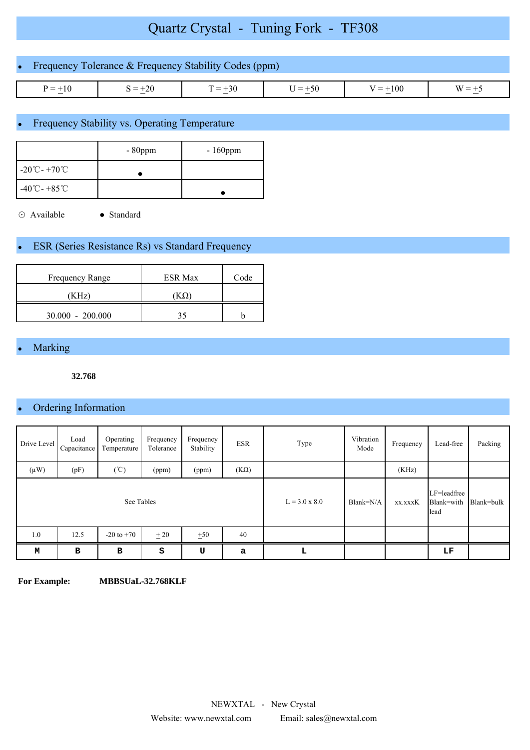# Quartz Crystal - Tuning Fork - TF308

| • Frequency Tolerance $&$ Frequency Stability Codes (ppm) |           |           |           |            |          |
|-----------------------------------------------------------|-----------|-----------|-----------|------------|----------|
| $P = +10$                                                 | $S = +20$ | $T = +30$ | $J = +50$ | $V = +100$ | $W = +5$ |

## Frequency Stability vs. Operating Temperature

|                                    | $-80$ ppm | $-160$ ppm |
|------------------------------------|-----------|------------|
| $-20^{\circ}$ C - +70 $^{\circ}$ C |           |            |
| $-40^{\circ}$ C - +85 $^{\circ}$ C |           |            |

⊙ Available ● Standard

## **ESR (Series Resistance Rs) vs Standard Frequency**

| Frequency Range    | <b>ESR Max</b> | Code |
|--------------------|----------------|------|
| KHz)               |                |      |
| $30.000 - 200.000$ |                |      |

## Marking

**32.768**

## • Ordering Information

| Frequency<br>Frequency<br>Operating<br>Load<br><b>ESR</b><br>Drive Level<br>Capacitance<br>Tolerance<br>Temperature<br>Stability |      |                |       |                      |             | Type    | Vibration<br>Mode                 | Frequency  | Lead-free | Packing |
|----------------------------------------------------------------------------------------------------------------------------------|------|----------------|-------|----------------------|-------------|---------|-----------------------------------|------------|-----------|---------|
| $(\mu W)$                                                                                                                        | (pF) | $(\degree C)$  | (ppm) | (ppm)                | $(K\Omega)$ |         |                                   | (KHz)      |           |         |
| See Tables                                                                                                                       |      |                |       | $L = 3.0 \times 8.0$ | Blank=N/A   | xx.xxxK | LF=leadfree<br>Blank=with<br>lead | Blank=bulk |           |         |
| 1.0                                                                                                                              | 12.5 | $-20$ to $+70$ | $+20$ | ±50                  | 40          |         |                                   |            |           |         |
| М                                                                                                                                | B    | B              | S     | U                    | a           | L       |                                   |            | LF        |         |

**For Example: MBBSUaL-32.768KLF**